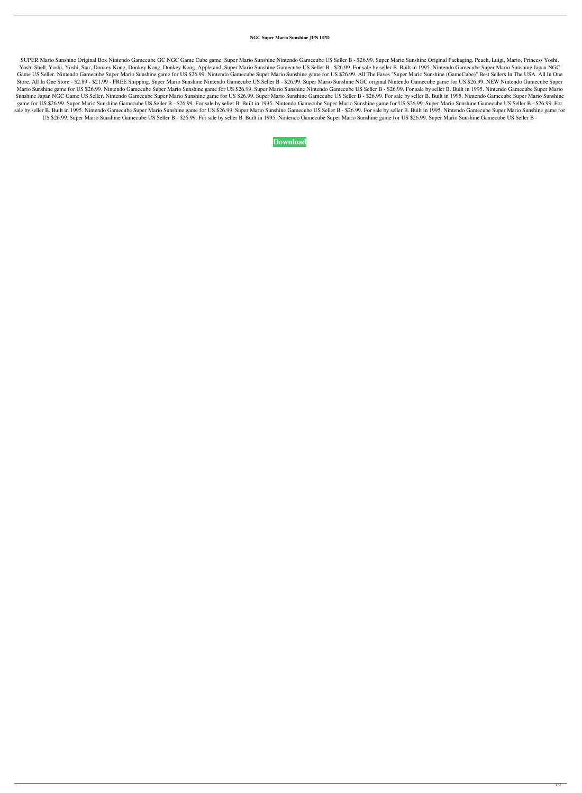## **NGC Super Mario Sunshine JPN UPD**

SUPER Mario Sunshine Original Box Nintendo Gamecube GC NGC Game Cube game. Super Mario Sunshine Nintendo Gamecube US Seller B - \$26.99. Super Mario Sunshine Original Packaging, Peach, Luigi, Mario, Princess Yoshi, Yoshi Shell, Yoshi, Star, Donkey Kong, Donkey Kong, Donkey Kong, Apple and. Super Mario Sunshine Gamecube US Seller B - \$26.99. For sale by seller B. Built in 1995. Nintendo Gamecube Super Mario Sunshine Japan NGC Game US Seller. Nintendo Gamecube Super Mario Sunshine game for US \$26.99. Nintendo Gamecube Super Mario Sunshine (GameCube) Best Sellers In The USA. All In One Store. All In One Store - \$2.89 - \$21.99 - FREE Shipping. Super Mario Sunshine Nintendo Gamecube Norginal Nintendo Gamecube game for US \$26.99. NEW Nintendo Gamecube Super Mario Sunshine game for US \$26.99. Nintendo Gamecube Super Mario Sunshine game for US \$26.99. Super Mario Sunshine Nintendo Gamecube US Seller B - \$26.99. For sale by seller B. Built in 1995. Nintendo Gamecube Super Mario Sunshine Japan NGC Game US Seller. Nintendo Gamecube Super Mario Sunshine game for US \$26.99. Super Mario Sunshine Gamecube US Seller B - \$26.99. For sale by seller B. Built in 1995. Nintendo Gamecube Super Mario Sunshine game for US \$26.99. Super Mario Sunshine Gamecube US Seller B - \$26.99. For sale by seller B. Built in 1995. Nintendo Gamecube Super Mario Sunshine game for US \$26.99. Super Mario Sunshine Gamecube US Seller B - \$26.99. Fo sale by seller B. Built in 1995. Nintendo Gamecube Super Mario Sunshine game for US \$26.99. Super Mario Sunshine Gamecube US Seller B - \$26.99. For sale by seller B. Built in 1995. Nintendo Gamecube Super Mario Sunshine ga US \$26.99. Super Mario Sunshine Gamecube US Seller B - \$26.99. For sale by seller B. Built in 1995. Nintendo Gamecube Super Mario Sunshine game for US \$26.99. Super Mario Sunshine Gamecube US Seller B -

## **[Download](https://tlniurl.com/2l0z2c)**